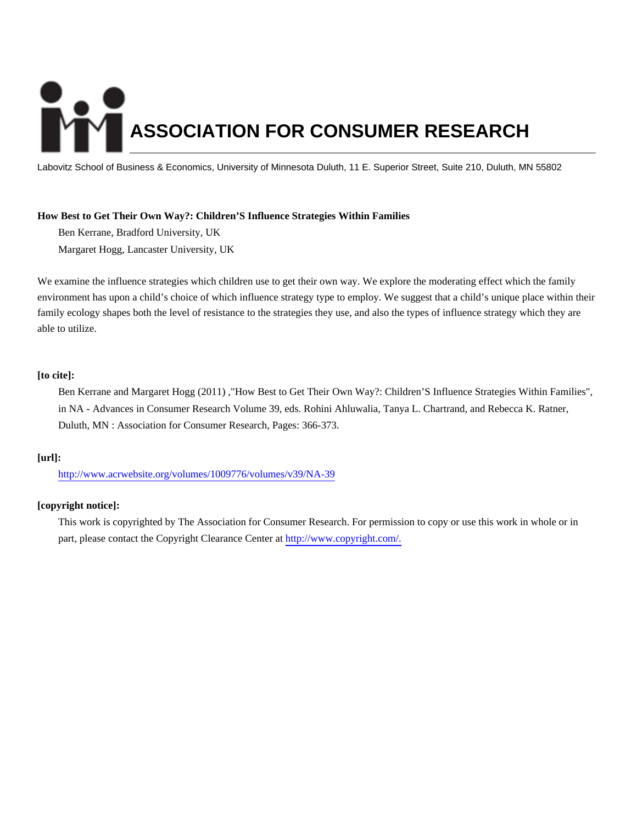# **ASSOCIATION FOR CONSUMER RESEARCH**

Labovitz School of Business & Economics, University of Minnesota Duluth, 11 E. Superior Street, Suite 210, Duluth, MN 55802

# **How Best to Get Their Own Way?: Children'S Influence Strategies Within Families**

Ben Kerrane, Bradford University, UK

Margaret Hogg, Lancaster University, UK

We examine the influence strategies which children use to get their own way. We explore the moderating effect which the family environment has upon a child's choice of which influence strategy type to employ. We suggest that a child's unique place within their family ecology shapes both the level of resistance to the strategies they use, and also the types of influence strategy which they are able to utilize.

# **[to cite]:**

Ben Kerrane and Margaret Hogg (2011) ,"How Best to Get Their Own Way?: Children'S Influence Strategies Within Families", in NA - Advances in Consumer Research Volume 39, eds. Rohini Ahluwalia, Tanya L. Chartrand, and Rebecca K. Ratner, Duluth, MN : Association for Consumer Research, Pages: 366-373.

# **[url]:**

<http://www.acrwebsite.org/volumes/1009776/volumes/v39/NA-39>

# **[copyright notice]:**

This work is copyrighted by The Association for Consumer Research. For permission to copy or use this work in whole or in part, please contact the Copyright Clearance Center at [http://www.copyright.com/.](http://www.copyright.com/)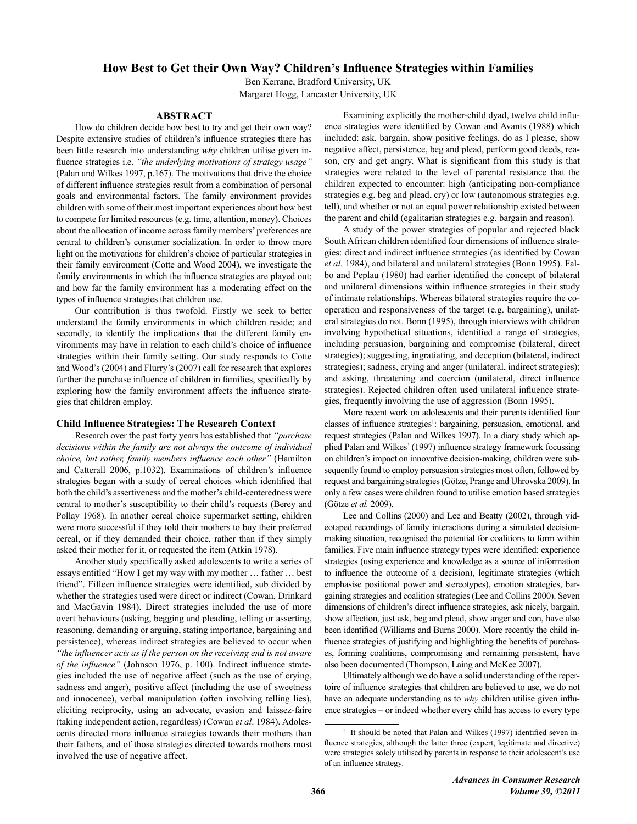# How Best to Get their Own Way? Children's Influence Strategies within Families

Ben Kerrane, Bradford University, UK Margaret Hogg, Lancaster University, UK

# **ABSTRACT**

How do children decide how best to try and get their own way? Despite extensive studies of children's influence strategies there has been little research into understanding why children utilise given influence strategies *i.e.* "the *underlying motivations of strategy usage*" (Palan and Wilkes 1997, p.167). The motivations that drive the choice of different influence strategies result from a combination of personal goals and environmental factors. The family environment provides children with some of their most important experiences about how best to compete for limited resources (e.g. time, attention, money). Choices about the allocation of income across family members' preferences are central to children's consumer socialization. In order to throw more light on the motivations for children's choice of particular strategies in their family environment (Cotte and Wood 2004), we investigate the family environments in which the influence strategies are played out; and how far the family environment has a moderating effect on the types of influence strategies that children use.

Our contribution is thus twofold. Firstly we seek to better understand the family environments in which children reside; and secondly, to identify the implications that the different family environments may have in relation to each child's choice of influence strategies within their family setting. Our study responds to Cotte and Wood's (2004) and Flurry's (2007) call for research that explores further the purchase influence of children in families, specifically by exploring how the family environment affects the influence strategies that children employ.

## **Child Influence Strategies: The Research Context**

Research over the past forty years has established that "purchase decisions within the family are not always the outcome of individual choice, but rather, family members influence each other" (Hamilton and Catterall 2006, p.1032). Examinations of children's influence strategies began with a study of cereal choices which identified that both the child's assertiveness and the mother's child-centeredness were central to mother's susceptibility to their child's requests (Berey and Pollay 1968). In another cereal choice supermarket setting, children were more successful if they told their mothers to buy their preferred cereal, or if they demanded their choice, rather than if they simply asked their mother for it, or requested the item (Atkin 1978).

Another study specifically asked adolescents to write a series of essays entitled "How I get my way with my mother ... father ... best friend". Fifteen influence strategies were identified, sub divided by whether the strategies used were direct or indirect (Cowan, Drinkard and MacGavin 1984). Direct strategies included the use of more overt behaviours (asking, begging and pleading, telling or asserting, reasoning, demanding or arguing, stating importance, bargaining and persistence), whereas indirect strategies are believed to occur when "the influencer acts as if the person on the receiving end is not aware of the influence" (Johnson 1976, p. 100). Indirect influence strategies included the use of negative affect (such as the use of crying, sadness and anger), positive affect (including the use of sweetness and innocence), verbal manipulation (often involving telling lies), eliciting reciprocity, using an advocate, evasion and laissez-faire (taking independent action, regardless) (Cowan et al. 1984). Adolescents directed more influence strategies towards their mothers than their fathers, and of those strategies directed towards mothers most involved the use of negative affect.

Examining explicitly the mother-child dyad, twelve child influence strategies were identified by Cowan and Avants (1988) which included: ask, bargain, show positive feelings, do as I please, show negative affect, persistence, beg and plead, perform good deeds, reason, cry and get angry. What is significant from this study is that strategies were related to the level of parental resistance that the children expected to encounter: high (anticipating non-compliance strategies e.g. beg and plead, cry) or low (autonomous strategies e.g. tell), and whether or not an equal power relationship existed between the parent and child (egalitarian strategies e.g. bargain and reason).

A study of the power strategies of popular and rejected black South African children identified four dimensions of influence strategies: direct and indirect influence strategies (as identified by Cowan et al. 1984), and bilateral and unilateral strategies (Bonn 1995). Falbo and Peplau (1980) had earlier identified the concept of bilateral and unilateral dimensions within influence strategies in their study of intimate relationships. Whereas bilateral strategies require the cooperation and responsiveness of the target (e.g. bargaining), unilateral strategies do not. Bonn (1995), through interviews with children involving hypothetical situations, identified a range of strategies, including persuasion, bargaining and compromise (bilateral, direct strategies); suggesting, ingratiating, and deception (bilateral, indirect strategies); sadness, crying and anger (unilateral, indirect strategies); and asking, threatening and coercion (unilateral, direct influence strategies). Rejected children often used unilateral influence strategies, frequently involving the use of aggression (Bonn 1995).

More recent work on adolescents and their parents identified four classes of influence strategies<sup>1</sup>: bargaining, persuasion, emotional, and request strategies (Palan and Wilkes 1997). In a diary study which applied Palan and Wilkes' (1997) influence strategy framework focussing on children's impact on innovative decision-making, children were subsequently found to employ persuasion strategies most often, followed by request and bargaining strategies (Götze, Prange and Uhrovska 2009). In only a few cases were children found to utilise emotion based strategies (Götze et al. 2009).

Lee and Collins (2000) and Lee and Beatty (2002), through videotaped recordings of family interactions during a simulated decisionmaking situation, recognised the potential for coalitions to form within families. Five main influence strategy types were identified: experience strategies (using experience and knowledge as a source of information to influence the outcome of a decision), legitimate strategies (which emphasise positional power and stereotypes), emotion strategies, bargaining strategies and coalition strategies (Lee and Collins 2000). Seven dimensions of children's direct influence strategies, ask nicely, bargain, show affection, just ask, beg and plead, show anger and con, have also been identified (Williams and Burns 2000). More recently the child influence strategies of justifying and highlighting the benefits of purchases, forming coalitions, compromising and remaining persistent, have also been documented (Thompson, Laing and McKee 2007).

Ultimately although we do have a solid understanding of the repertoire of influence strategies that children are believed to use, we do not have an adequate understanding as to why children utilise given influence strategies - or indeed whether every child has access to every type

It should be noted that Palan and Wilkes (1997) identified seven influence strategies, although the latter three (expert, legitimate and directive) were strategies solely utilised by parents in response to their adolescent's use of an influence strategy.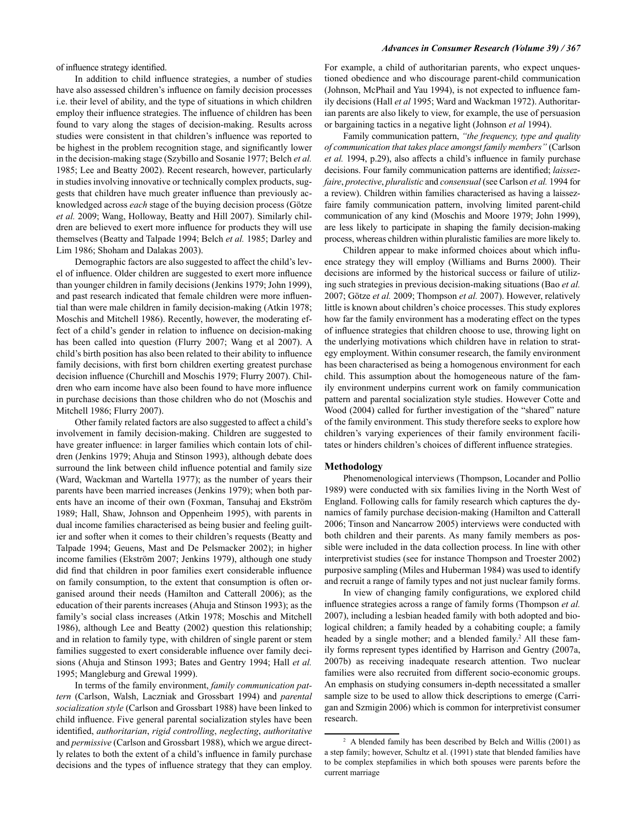of influence strategy identified.

In addition to child influence strategies, a number of studies have also assessed children's influence on family decision processes i.e. their level of ability, and the type of situations in which children employ their influence strategies. The influence of children has been found to vary along the stages of decision-making. Results across studies were consistent in that children's influence was reported to be highest in the problem recognition stage, and significantly lower in the decision-making stage (Szybillo and Sosanie 1977; Belch et al. 1985; Lee and Beatty 2002). Recent research, however, particularly in studies involving innovative or technically complex products, suggests that children have much greater influence than previously acknowledged across each stage of the buying decision process (Götze et al. 2009; Wang, Holloway, Beatty and Hill 2007). Similarly children are believed to exert more influence for products they will use themselves (Beatty and Talpade 1994; Belch et al. 1985; Darley and Lim 1986; Shoham and Dalakas 2003).

Demographic factors are also suggested to affect the child's level of influence. Older children are suggested to exert more influence than younger children in family decisions (Jenkins 1979; John 1999), and past research indicated that female children were more influential than were male children in family decision-making (Atkin 1978; Moschis and Mitchell 1986). Recently, however, the moderating effect of a child's gender in relation to influence on decision-making has been called into question (Flurry 2007; Wang et al 2007). A child's birth position has also been related to their ability to influence family decisions, with first born children exerting greatest purchase decision influence (Churchill and Moschis 1979; Flurry 2007). Children who earn income have also been found to have more influence in purchase decisions than those children who do not (Moschis and Mitchell 1986; Flurry 2007).

Other family related factors are also suggested to affect a child's involvement in family decision-making. Children are suggested to have greater influence: in larger families which contain lots of children (Jenkins 1979; Ahuja and Stinson 1993), although debate does surround the link between child influence potential and family size (Ward, Wackman and Wartella 1977); as the number of years their parents have been married increases (Jenkins 1979); when both parents have an income of their own (Foxman, Tansuhaj and Ekström 1989; Hall, Shaw, Johnson and Oppenheim 1995), with parents in dual income families characterised as being busier and feeling guiltier and softer when it comes to their children's requests (Beatty and Talpade 1994; Geuens, Mast and De Pelsmacker 2002); in higher income families (Ekström 2007; Jenkins 1979), although one study did find that children in poor families exert considerable influence on family consumption, to the extent that consumption is often organised around their needs (Hamilton and Catterall 2006); as the education of their parents increases (Ahuja and Stinson 1993); as the family's social class increases (Atkin 1978; Moschis and Mitchell 1986), although Lee and Beatty (2002) question this relationship; and in relation to family type, with children of single parent or stem families suggested to exert considerable influence over family decisions (Ahuja and Stinson 1993; Bates and Gentry 1994; Hall et al. 1995; Mangleburg and Grewal 1999).

In terms of the family environment, family communication pattern (Carlson, Walsh, Laczniak and Grossbart 1994) and parental socialization style (Carlson and Grossbart 1988) have been linked to child influence. Five general parental socialization styles have been identified, authoritarian, rigid controlling, neglecting, authoritative and *permissive* (Carlson and Grossbart 1988), which we argue directly relates to both the extent of a child's influence in family purchase decisions and the types of influence strategy that they can employ.

For example, a child of authoritarian parents, who expect unquestioned obedience and who discourage parent-child communication (Johnson, McPhail and Yau 1994), is not expected to influence family decisions (Hall et al 1995; Ward and Wackman 1972). Authoritarian parents are also likely to view, for example, the use of persuasion or bargaining tactics in a negative light (Johnson et al 1994).

Family communication pattern, "the frequency, type and quality of communication that takes place amongst family members" (Carlson et al. 1994, p.29), also affects a child's influence in family purchase decisions. Four family communication patterns are identified; laissezfaire, protective, pluralistic and consensual (see Carlson et al. 1994 for a review). Children within families characterised as having a laissezfaire family communication pattern, involving limited parent-child communication of any kind (Moschis and Moore 1979; John 1999), are less likely to participate in shaping the family decision-making process, whereas children within pluralistic families are more likely to.

Children appear to make informed choices about which influence strategy they will employ (Williams and Burns 2000). Their decisions are informed by the historical success or failure of utilizing such strategies in previous decision-making situations (Bao et al. 2007; Götze et al. 2009; Thompson et al. 2007). However, relatively little is known about children's choice processes. This study explores how far the family environment has a moderating effect on the types of influence strategies that children choose to use, throwing light on the underlying motivations which children have in relation to strategy employment. Within consumer research, the family environment has been characterised as being a homogenous environment for each child. This assumption about the homogeneous nature of the family environment underpins current work on family communication pattern and parental socialization style studies. However Cotte and Wood (2004) called for further investigation of the "shared" nature of the family environment. This study therefore seeks to explore how children's varying experiences of their family environment facilitates or hinders children's choices of different influence strategies.

## Methodology

Phenomenological interviews (Thompson, Locander and Pollio 1989) were conducted with six families living in the North West of England. Following calls for family research which captures the dynamics of family purchase decision-making (Hamilton and Catterall 2006; Tinson and Nancarrow 2005) interviews were conducted with both children and their parents. As many family members as possible were included in the data collection process. In line with other interpretivist studies (see for instance Thompson and Troester 2002) purposive sampling (Miles and Huberman 1984) was used to identify and recruit a range of family types and not just nuclear family forms.

In view of changing family configurations, we explored child influence strategies across a range of family forms (Thompson et al. 2007), including a lesbian headed family with both adopted and biological children; a family headed by a cohabiting couple; a family headed by a single mother; and a blended family.<sup>2</sup> All these family forms represent types identified by Harrison and Gentry (2007a, 2007b) as receiving inadequate research attention. Two nuclear families were also recruited from different socio-economic groups. An emphasis on studying consumers in-depth necessitated a smaller sample size to be used to allow thick descriptions to emerge (Carrigan and Szmigin 2006) which is common for interpretivist consumer research.

<sup>&</sup>lt;sup>2</sup> A blended family has been described by Belch and Willis (2001) as a step family; however, Schultz et al. (1991) state that blended families have to be complex stepfamilies in which both spouses were parents before the current marriage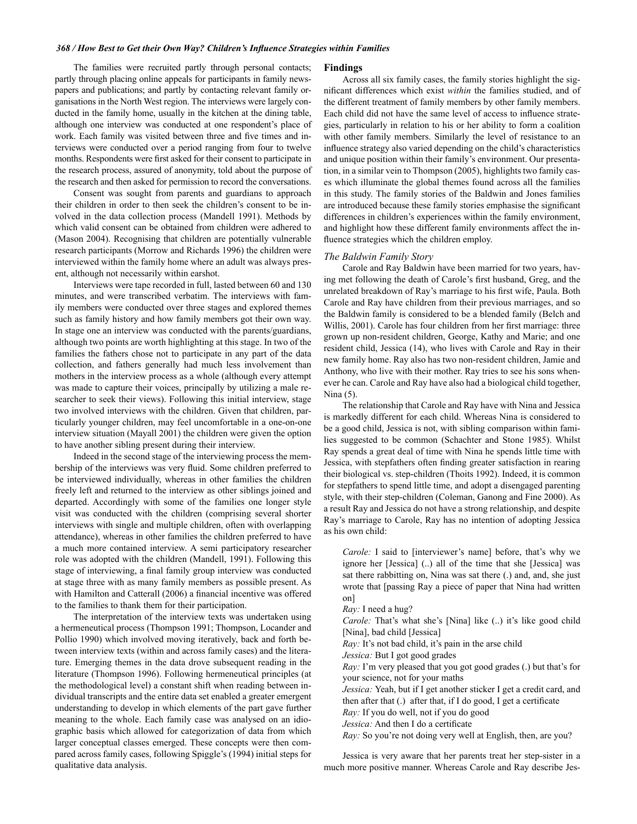#### 368 / How Best to Get their Own Way? Children's Influence Strategies within Families

The families were recruited partly through personal contacts; partly through placing online appeals for participants in family newspapers and publications; and partly by contacting relevant family organisations in the North West region. The interviews were largely conducted in the family home, usually in the kitchen at the dining table, although one interview was conducted at one respondent's place of work. Each family was visited between three and five times and interviews were conducted over a period ranging from four to twelve months. Respondents were first asked for their consent to participate in the research process, assured of anonymity, told about the purpose of the research and then asked for permission to record the conversations.

Consent was sought from parents and guardians to approach their children in order to then seek the children's consent to be involved in the data collection process (Mandell 1991). Methods by which valid consent can be obtained from children were adhered to (Mason 2004). Recognising that children are potentially vulnerable research participants (Morrow and Richards 1996) the children were interviewed within the family home where an adult was always present, although not necessarily within earshot.

Interviews were tape recorded in full, lasted between 60 and 130 minutes, and were transcribed verbatim. The interviews with family members were conducted over three stages and explored themes such as family history and how family members got their own way. In stage one an interview was conducted with the parents/guardians, although two points are worth highlighting at this stage. In two of the families the fathers chose not to participate in any part of the data collection, and fathers generally had much less involvement than mothers in the interview process as a whole (although every attempt was made to capture their voices, principally by utilizing a male researcher to seek their views). Following this initial interview, stage two involved interviews with the children. Given that children, particularly younger children, may feel uncomfortable in a one-on-one interview situation (Mayall 2001) the children were given the option to have another sibling present during their interview.

Indeed in the second stage of the interviewing process the membership of the interviews was very fluid. Some children preferred to be interviewed individually, whereas in other families the children freely left and returned to the interview as other siblings joined and departed. Accordingly with some of the families one longer style visit was conducted with the children (comprising several shorter interviews with single and multiple children, often with overlapping attendance), whereas in other families the children preferred to have a much more contained interview. A semi participatory researcher role was adopted with the children (Mandell, 1991). Following this stage of interviewing, a final family group interview was conducted at stage three with as many family members as possible present. As with Hamilton and Catterall (2006) a financial incentive was offered to the families to thank them for their participation.

The interpretation of the interview texts was undertaken using a hermeneutical process (Thompson 1991; Thompson, Locander and Pollio 1990) which involved moving iteratively, back and forth between interview texts (within and across family cases) and the literature. Emerging themes in the data drove subsequent reading in the literature (Thompson 1996). Following hermeneutical principles (at the methodological level) a constant shift when reading between individual transcripts and the entire data set enabled a greater emergent understanding to develop in which elements of the part gave further meaning to the whole. Each family case was analysed on an idiographic basis which allowed for categorization of data from which larger conceptual classes emerged. These concepts were then compared across family cases, following Spiggle's (1994) initial steps for qualitative data analysis.

#### **Findings**

Across all six family cases, the family stories highlight the significant differences which exist within the families studied, and of the different treatment of family members by other family members. Each child did not have the same level of access to influence strategies, particularly in relation to his or her ability to form a coalition with other family members. Similarly the level of resistance to an influence strategy also varied depending on the child's characteristics and unique position within their family's environment. Our presentation, in a similar vein to Thompson (2005), highlights two family cases which illuminate the global themes found across all the families in this study. The family stories of the Baldwin and Jones families are introduced because these family stories emphasise the significant differences in children's experiences within the family environment, and highlight how these different family environments affect the influence strategies which the children employ.

## The Baldwin Family Story

Carole and Ray Baldwin have been married for two years, having met following the death of Carole's first husband, Greg, and the unrelated breakdown of Ray's marriage to his first wife, Paula. Both Carole and Ray have children from their previous marriages, and so the Baldwin family is considered to be a blended family (Belch and Willis, 2001). Carole has four children from her first marriage: three grown up non-resident children, George, Kathy and Marie; and one resident child, Jessica (14), who lives with Carole and Ray in their new family home. Ray also has two non-resident children, Jamie and Anthony, who live with their mother. Ray tries to see his sons whenever he can. Carole and Ray have also had a biological child together, Nina  $(5)$ .

The relationship that Carole and Ray have with Nina and Jessica is markedly different for each child. Whereas Nina is considered to be a good child, Jessica is not, with sibling comparison within families suggested to be common (Schachter and Stone 1985). Whilst Ray spends a great deal of time with Nina he spends little time with Jessica, with stepfathers often finding greater satisfaction in rearing their biological vs. step-children (Thoits 1992). Indeed, it is common for stepfathers to spend little time, and adopt a disengaged parenting style, with their step-children (Coleman, Ganong and Fine 2000). As a result Ray and Jessica do not have a strong relationship, and despite Ray's marriage to Carole, Ray has no intention of adopting Jessica as his own child:

*Carole:* I said to [interviewer's name] before, that's why we ignore her [Jessica] (..) all of the time that she [Jessica] was sat there rabbitting on, Nina was sat there (.) and, and, she just wrote that [passing Ray a piece of paper that Nina had written on]

Ray: I need a hug?

*Carole:* That's what she's [Nina] like (..) it's like good child [Nina], bad child [Jessica]

Ray: It's not bad child, it's pain in the arse child

Jessica: But I got good grades

*Ray*: I'm very pleased that you got good grades (.) but that's for your science, not for your maths

Jessica: Yeah, but if I get another sticker I get a credit card, and then after that (.) after that, if I do good, I get a certificate

Ray: If you do well, not if you do good

Jessica: And then I do a certificate

Ray: So you're not doing very well at English, then, are you?

Jessica is very aware that her parents treat her step-sister in a much more positive manner. Whereas Carole and Ray describe Jes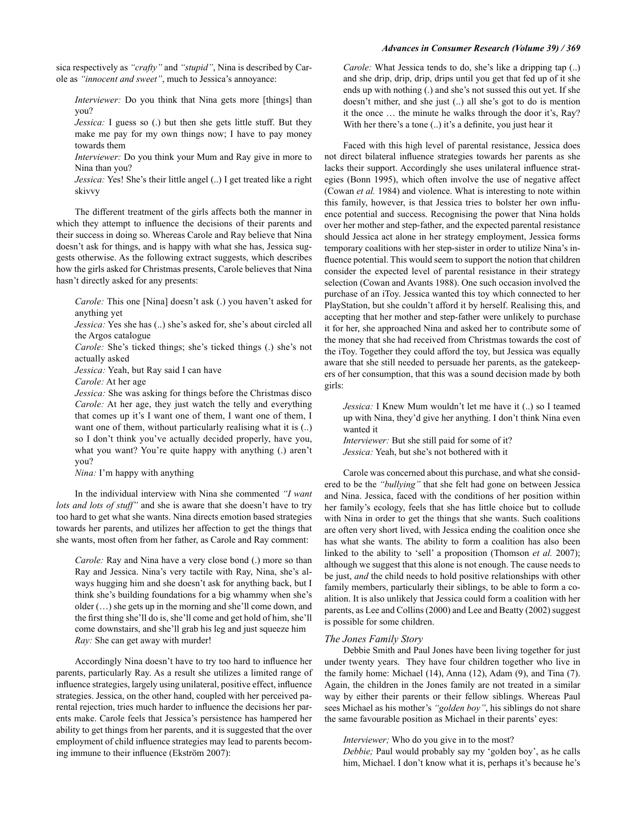sica respectively as "crafty" and "stupid", Nina is described by Carole as "innocent and sweet", much to Jessica's annoyance:

*Interviewer*: Do you think that Nina gets more [things] than you?

Jessica: I guess so (.) but then she gets little stuff. But they make me pay for my own things now; I have to pay money towards them

Interviewer: Do you think your Mum and Ray give in more to Nina than you?

Jessica: Yes! She's their little angel (..) I get treated like a right skivvy

The different treatment of the girls affects both the manner in which they attempt to influence the decisions of their parents and their success in doing so. Whereas Carole and Ray believe that Nina doesn't ask for things, and is happy with what she has, Jessica suggests otherwise. As the following extract suggests, which describes how the girls asked for Christmas presents, Carole believes that Nina hasn't directly asked for any presents:

Carole: This one [Nina] doesn't ask (.) you haven't asked for anything yet

Jessica: Yes she has (..) she's asked for, she's about circled all the Argos catalogue

Carole: She's ticked things; she's ticked things (.) she's not actually asked

Jessica: Yeah, but Ray said I can have

Carole: At her age

Jessica: She was asking for things before the Christmas disco Carole: At her age, they just watch the telly and everything that comes up it's I want one of them, I want one of them, I want one of them, without particularly realising what it is (..) so I don't think you've actually decided properly, have you, what you want? You're quite happy with anything (.) aren't you?

Nina: I'm happy with anything

In the individual interview with Nina she commented "I want lots and lots of stuff" and she is aware that she doesn't have to try too hard to get what she wants. Nina directs emotion based strategies towards her parents, and utilizes her affection to get the things that she wants, most often from her father, as Carole and Ray comment:

Carole: Ray and Nina have a very close bond (.) more so than Ray and Jessica. Nina's very tactile with Ray, Nina, she's always hugging him and she doesn't ask for anything back, but I think she's building foundations for a big whammy when she's older  $(...)$  she gets up in the morning and she'll come down, and the first thing she'll do is, she'll come and get hold of him, she'll come downstairs, and she'll grab his leg and just squeeze him Ray: She can get away with murder!

Accordingly Nina doesn't have to try too hard to influence her parents, particularly Ray. As a result she utilizes a limited range of influence strategies, largely using unilateral, positive effect, influence strategies. Jessica, on the other hand, coupled with her perceived parental rejection, tries much harder to influence the decisions her parents make. Carole feels that Jessica's persistence has hampered her ability to get things from her parents, and it is suggested that the over employment of child influence strategies may lead to parents becoming immune to their influence (Ekström 2007):

Carole: What Jessica tends to do, she's like a dripping tap (..) and she drip, drip, drip, drips until you get that fed up of it she ends up with nothing (.) and she's not sussed this out yet. If she doesn't mither, and she just (..) all she's got to do is mention it the once ... the minute he walks through the door it's, Ray? With her there's a tone (..) it's a definite, you just hear it

Faced with this high level of parental resistance, Jessica does not direct bilateral influence strategies towards her parents as she lacks their support. Accordingly she uses unilateral influence strategies (Bonn 1995), which often involve the use of negative affect (Cowan et al. 1984) and violence. What is interesting to note within this family, however, is that Jessica tries to bolster her own influence potential and success. Recognising the power that Nina holds over her mother and step-father, and the expected parental resistance should Jessica act alone in her strategy employment, Jessica forms temporary coalitions with her step-sister in order to utilize Nina's influence potential. This would seem to support the notion that children consider the expected level of parental resistance in their strategy selection (Cowan and Avants 1988). One such occasion involved the purchase of an iToy. Jessica wanted this toy which connected to her PlayStation, but she couldn't afford it by herself. Realising this, and accepting that her mother and step-father were unlikely to purchase it for her, she approached Nina and asked her to contribute some of the money that she had received from Christmas towards the cost of the iToy. Together they could afford the toy, but Jessica was equally aware that she still needed to persuade her parents, as the gatekeepers of her consumption, that this was a sound decision made by both girls:

Jessica: I Knew Mum wouldn't let me have it (..) so I teamed up with Nina, they'd give her anything. I don't think Nina even wanted it

Interviewer: But she still paid for some of it? Jessica: Yeah, but she's not bothered with it

Carole was concerned about this purchase, and what she considered to be the "bullying" that she felt had gone on between Jessica and Nina. Jessica, faced with the conditions of her position within her family's ecology, feels that she has little choice but to collude with Nina in order to get the things that she wants. Such coalitions are often very short lived, with Jessica ending the coalition once she has what she wants. The ability to form a coalition has also been linked to the ability to 'sell' a proposition (Thomson et al. 2007); although we suggest that this alone is not enough. The cause needs to be just, and the child needs to hold positive relationships with other family members, particularly their siblings, to be able to form a coalition. It is also unlikely that Jessica could form a coalition with her parents, as Lee and Collins (2000) and Lee and Beatty (2002) suggest is possible for some children.

## The Jones Family Story

Debbie Smith and Paul Jones have been living together for just under twenty years. They have four children together who live in the family home: Michael (14), Anna (12), Adam (9), and Tina (7). Again, the children in the Jones family are not treated in a similar way by either their parents or their fellow siblings. Whereas Paul sees Michael as his mother's "golden boy", his siblings do not share the same favourable position as Michael in their parents' eyes:

## Interviewer; Who do you give in to the most?

Debbie; Paul would probably say my 'golden boy', as he calls him, Michael. I don't know what it is, perhaps it's because he's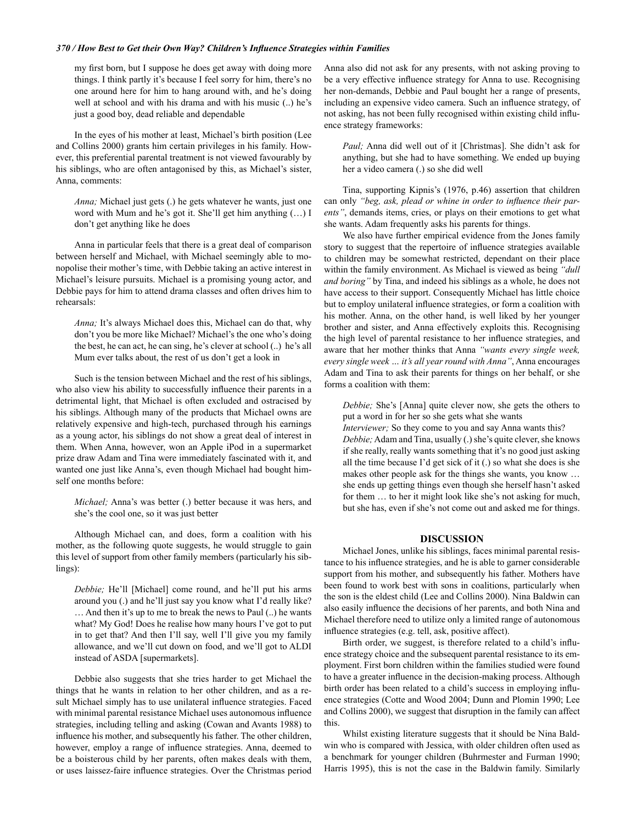#### 370 / How Best to Get their Own Way? Children's Influence Strategies within Families

my first born, but I suppose he does get away with doing more things. I think partly it's because I feel sorry for him, there's no one around here for him to hang around with, and he's doing well at school and with his drama and with his music (..) he's just a good boy, dead reliable and dependable

In the eyes of his mother at least, Michael's birth position (Lee and Collins 2000) grants him certain privileges in his family. However, this preferential parental treatment is not viewed favourably by his siblings, who are often antagonised by this, as Michael's sister, Anna, comments:

Anna; Michael just gets (.) he gets whatever he wants, just one word with Mum and he's got it. She'll get him anything (...) I don't get anything like he does

Anna in particular feels that there is a great deal of comparison between herself and Michael, with Michael seemingly able to monopolise their mother's time, with Debbie taking an active interest in Michael's leisure pursuits. Michael is a promising young actor, and Debbie pays for him to attend drama classes and often drives him to rehearsals:

Anna; It's always Michael does this, Michael can do that, why don't you be more like Michael? Michael's the one who's doing the best, he can act, he can sing, he's clever at school (..) he's all Mum ever talks about, the rest of us don't get a look in

Such is the tension between Michael and the rest of his siblings, who also view his ability to successfully influence their parents in a detrimental light, that Michael is often excluded and ostracised by his siblings. Although many of the products that Michael owns are relatively expensive and high-tech, purchased through his earnings as a young actor, his siblings do not show a great deal of interest in them. When Anna, however, won an Apple iPod in a supermarket prize draw Adam and Tina were immediately fascinated with it, and wanted one just like Anna's, even though Michael had bought himself one months before:

Michael; Anna's was better (.) better because it was hers, and she's the cool one, so it was just better

Although Michael can, and does, form a coalition with his mother, as the following quote suggests, he would struggle to gain this level of support from other family members (particularly his sib $lings):$ 

Debbie; He'll [Michael] come round, and he'll put his arms around you (.) and he'll just say you know what I'd really like? ... And then it's up to me to break the news to Paul (..) he wants what? My God! Does he realise how many hours I've got to put in to get that? And then I'll say, well I'll give you my family allowance, and we'll cut down on food, and we'll got to ALDI instead of ASDA [supermarkets].

Debbie also suggests that she tries harder to get Michael the things that he wants in relation to her other children, and as a result Michael simply has to use unilateral influence strategies. Faced with minimal parental resistance Michael uses autonomous influence strategies, including telling and asking (Cowan and Avants 1988) to influence his mother, and subsequently his father. The other children, however, employ a range of influence strategies. Anna, deemed to be a boisterous child by her parents, often makes deals with them, or uses laissez-faire influence strategies. Over the Christmas period Anna also did not ask for any presents, with not asking proving to be a very effective influence strategy for Anna to use. Recognising her non-demands, Debbie and Paul bought her a range of presents, including an expensive video camera. Such an influence strategy, of not asking, has not been fully recognised within existing child influence strategy frameworks:

Paul; Anna did well out of it [Christmas]. She didn't ask for anything, but she had to have something. We ended up buying her a video camera (.) so she did well

Tina, supporting Kipnis's (1976, p.46) assertion that children can only "beg, ask, plead or whine in order to influence their parents", demands items, cries, or plays on their emotions to get what she wants. Adam frequently asks his parents for things.

We also have further empirical evidence from the Jones family story to suggest that the repertoire of influence strategies available to children may be somewhat restricted, dependant on their place within the family environment. As Michael is viewed as being "dull and boring" by Tina, and indeed his siblings as a whole, he does not have access to their support. Consequently Michael has little choice but to employ unilateral influence strategies, or form a coalition with his mother. Anna, on the other hand, is well liked by her younger brother and sister, and Anna effectively exploits this. Recognising the high level of parental resistance to her influence strategies, and aware that her mother thinks that Anna "wants every single week, every single week ... it's all year round with Anna", Anna encourages Adam and Tina to ask their parents for things on her behalf, or she forms a coalition with them:

Debbie; She's [Anna] quite clever now, she gets the others to put a word in for her so she gets what she wants

Interviewer; So they come to you and say Anna wants this?

Debbie; Adam and Tina, usually (.) she's quite clever, she knows if she really, really wants something that it's no good just asking all the time because I'd get sick of it (.) so what she does is she makes other people ask for the things she wants, you know ... she ends up getting things even though she herself hasn't asked for them ... to her it might look like she's not asking for much, but she has, even if she's not come out and asked me for things.

## **DISCUSSION**

Michael Jones, unlike his siblings, faces minimal parental resistance to his influence strategies, and he is able to garner considerable support from his mother, and subsequently his father. Mothers have been found to work best with sons in coalitions, particularly when the son is the eldest child (Lee and Collins 2000). Nina Baldwin can also easily influence the decisions of her parents, and both Nina and Michael therefore need to utilize only a limited range of autonomous influence strategies (e.g. tell, ask, positive affect).

Birth order, we suggest, is therefore related to a child's influence strategy choice and the subsequent parental resistance to its employment. First born children within the families studied were found to have a greater influence in the decision-making process. Although birth order has been related to a child's success in employing influence strategies (Cotte and Wood 2004; Dunn and Plomin 1990; Lee and Collins 2000), we suggest that disruption in the family can affect this.

Whilst existing literature suggests that it should be Nina Baldwin who is compared with Jessica, with older children often used as a benchmark for younger children (Buhrmester and Furman 1990; Harris 1995), this is not the case in the Baldwin family. Similarly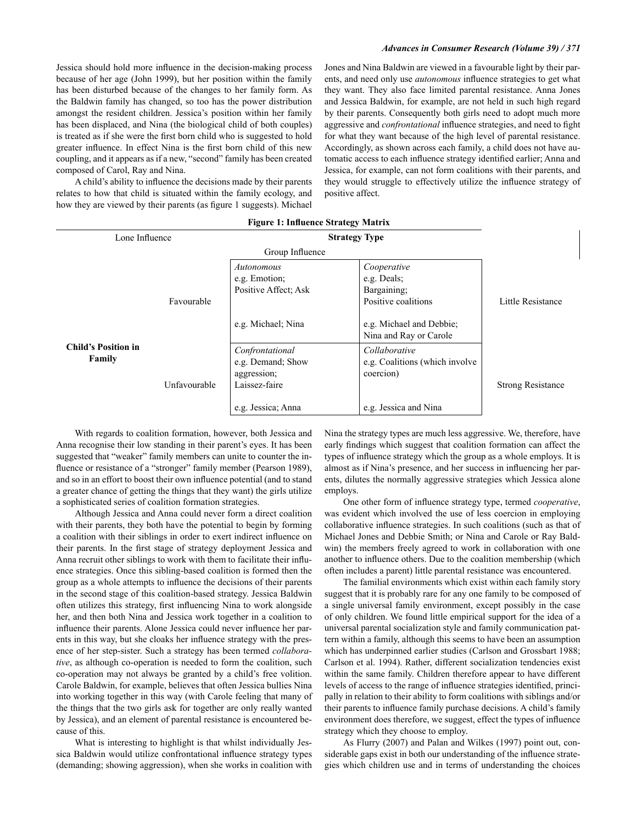Jessica should hold more influence in the decision-making process because of her age (John 1999), but her position within the family has been disturbed because of the changes to her family form. As the Baldwin family has changed, so too has the power distribution amongst the resident children. Jessica's position within her family has been displaced, and Nina (the biological child of both couples) is treated as if she were the first born child who is suggested to hold greater influence. In effect Nina is the first born child of this new coupling, and it appears as if a new, "second" family has been created composed of Carol, Ray and Nina.

A child's ability to influence the decisions made by their parents relates to how that child is situated within the family ecology, and how they are viewed by their parents (as figure 1 suggests). Michael Jones and Nina Baldwin are viewed in a favourable light by their parents, and need only use *autonomous* influence strategies to get what they want. They also face limited parental resistance. Anna Jones and Jessica Baldwin, for example, are not held in such high regard by their parents. Consequently both girls need to adopt much more aggressive and *confrontational* influence strategies, and need to fight for what they want because of the high level of parental resistance. Accordingly, as shown across each family, a child does not have automatic access to each influence strategy identified earlier; Anna and Jessica, for example, can not form coalitions with their parents, and they would struggle to effectively utilize the influence strategy of positive affect.

| Lone Influence                       |              | <b>Strategy Type</b>                                                 |                                                                  |                          |
|--------------------------------------|--------------|----------------------------------------------------------------------|------------------------------------------------------------------|--------------------------|
|                                      |              |                                                                      |                                                                  |                          |
|                                      | Favourable   | Autonomous<br>e.g. Emotion;<br>Positive Affect: Ask                  | Cooperative<br>e.g. Deals;<br>Bargaining;<br>Positive coalitions | Little Resistance        |
| <b>Child's Position in</b><br>Family |              | e.g. Michael; Nina                                                   | e.g. Michael and Debbie;<br>Nina and Ray or Carole               |                          |
|                                      | Unfavourable | Confrontational<br>e.g. Demand; Show<br>aggression;<br>Laissez-faire | Collaborative<br>e.g. Coalitions (which involve<br>coercion)     | <b>Strong Resistance</b> |
|                                      |              | e.g. Jessica; Anna                                                   | e.g. Jessica and Nina                                            |                          |

|  | <b>Figure 1: Influence Strategy Matrix</b> |  |  |
|--|--------------------------------------------|--|--|
|--|--------------------------------------------|--|--|

With regards to coalition formation, however, both Jessica and Anna recognise their low standing in their parent's eyes. It has been suggested that "weaker" family members can unite to counter the influence or resistance of a "stronger" family member (Pearson 1989), and so in an effort to boost their own influence potential (and to stand a greater chance of getting the things that they want) the girls utilize a sophisticated series of coalition formation strategies.

Although Jessica and Anna could never form a direct coalition with their parents, they both have the potential to begin by forming a coalition with their siblings in order to exert indirect influence on their parents. In the first stage of strategy deployment Jessica and Anna recruit other siblings to work with them to facilitate their influence strategies. Once this sibling-based coalition is formed then the group as a whole attempts to influence the decisions of their parents in the second stage of this coalition-based strategy. Jessica Baldwin often utilizes this strategy, first influencing Nina to work alongside her, and then both Nina and Jessica work together in a coalition to influence their parents. Alone Jessica could never influence her parents in this way, but she cloaks her influence strategy with the presence of her step-sister. Such a strategy has been termed collaborative, as although co-operation is needed to form the coalition, such co-operation may not always be granted by a child's free volition. Carole Baldwin, for example, believes that often Jessica bullies Nina into working together in this way (with Carole feeling that many of the things that the two girls ask for together are only really wanted by Jessica), and an element of parental resistance is encountered because of this.

What is interesting to highlight is that whilst individually Jessica Baldwin would utilize confrontational influence strategy types (demanding; showing aggression), when she works in coalition with Nina the strategy types are much less aggressive. We, therefore, have early findings which suggest that coalition formation can affect the types of influence strategy which the group as a whole employs. It is almost as if Nina's presence, and her success in influencing her parents, dilutes the normally aggressive strategies which Jessica alone employs.

One other form of influence strategy type, termed cooperative, was evident which involved the use of less coercion in employing collaborative influence strategies. In such coalitions (such as that of Michael Jones and Debbie Smith; or Nina and Carole or Ray Baldwin) the members freely agreed to work in collaboration with one another to influence others. Due to the coalition membership (which often includes a parent) little parental resistance was encountered.

The familial environments which exist within each family story suggest that it is probably rare for any one family to be composed of a single universal family environment, except possibly in the case of only children. We found little empirical support for the idea of a universal parental socialization style and family communication pattern within a family, although this seems to have been an assumption which has underpinned earlier studies (Carlson and Grossbart 1988; Carlson et al. 1994). Rather, different socialization tendencies exist within the same family. Children therefore appear to have different levels of access to the range of influence strategies identified, principally in relation to their ability to form coalitions with siblings and/or their parents to influence family purchase decisions. A child's family environment does therefore, we suggest, effect the types of influence strategy which they choose to employ.

As Flurry (2007) and Palan and Wilkes (1997) point out, considerable gaps exist in both our understanding of the influence strategies which children use and in terms of understanding the choices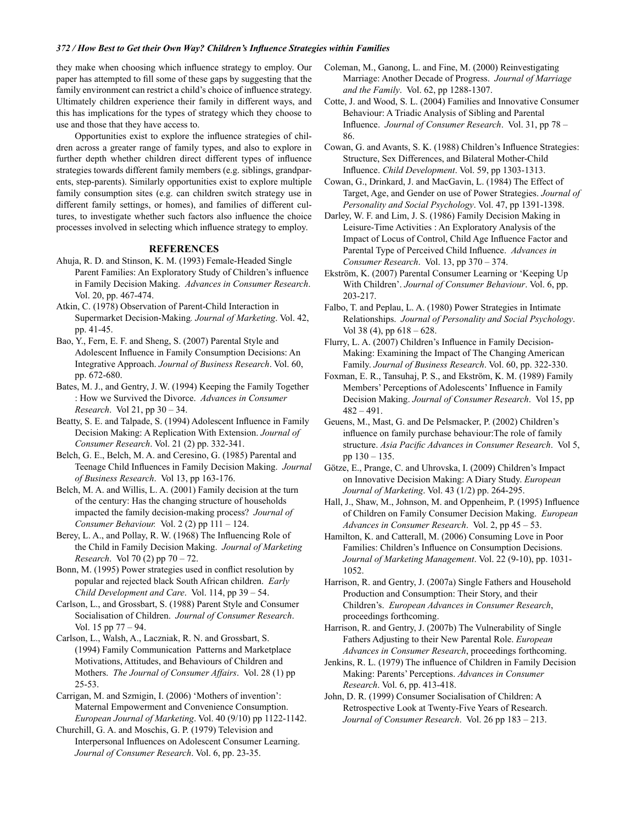## 372 / How Best to Get their Own Way? Children's Influence Strategies within Families

they make when choosing which influence strategy to employ. Our paper has attempted to fill some of these gaps by suggesting that the family environment can restrict a child's choice of influence strategy. Ultimately children experience their family in different ways, and this has implications for the types of strategy which they choose to use and those that they have access to.

Opportunities exist to explore the influence strategies of children across a greater range of family types, and also to explore in further depth whether children direct different types of influence strategies towards different family members (e.g. siblings, grandparents, step-parents). Similarly opportunities exist to explore multiple family consumption sites (e.g. can children switch strategy use in different family settings, or homes), and families of different cultures, to investigate whether such factors also influence the choice processes involved in selecting which influence strategy to employ.

## **REFERENCES**

- Ahuja, R. D. and Stinson, K. M. (1993) Female-Headed Single Parent Families: An Exploratory Study of Children's influence in Family Decision Making. Advances in Consumer Research. Vol. 20, pp. 467-474.
- Atkin, C. (1978) Observation of Parent-Child Interaction in Supermarket Decision-Making. Journal of Marketing. Vol. 42, pp. 41-45.
- Bao, Y., Fern, E. F. and Sheng, S. (2007) Parental Style and Adolescent Influence in Family Consumption Decisions: An Integrative Approach. Journal of Business Research. Vol. 60, pp. 672-680.
- Bates, M. J., and Gentry, J. W. (1994) Keeping the Family Together : How we Survived the Divorce. Advances in Consumer Research. Vol 21, pp 30 - 34.
- Beatty, S. E. and Talpade, S. (1994) Adolescent Influence in Family Decision Making: A Replication With Extension. Journal of Consumer Research. Vol. 21 (2) pp. 332-341.
- Belch, G. E., Belch, M. A. and Ceresino, G. (1985) Parental and Teenage Child Influences in Family Decision Making. Journal of Business Research. Vol 13, pp 163-176.
- Belch, M. A. and Willis, L. A. (2001) Family decision at the turn of the century: Has the changing structure of households impacted the family decision-making process? Journal of Consumer Behaviour. Vol.  $2(2)$  pp  $111 - 124$ .
- Berey, L. A., and Pollay, R. W. (1968) The Influencing Role of the Child in Family Decision Making. Journal of Marketing *Research.* Vol 70 (2) pp  $70 - 72$ .
- Bonn, M. (1995) Power strategies used in conflict resolution by popular and rejected black South African children. Early Child Development and Care. Vol. 114, pp 39 – 54.
- Carlson, L., and Grossbart, S. (1988) Parent Style and Consumer Socialisation of Children. Journal of Consumer Research. Vol. 15 pp  $77 - 94$ .
- Carlson, L., Walsh, A., Laczniak, R. N. and Grossbart, S. (1994) Family Communication Patterns and Marketplace Motivations, Attitudes, and Behaviours of Children and Mothers. The Journal of Consumer Affairs. Vol. 28 (1) pp  $25 - 53$ .
- Carrigan, M. and Szmigin, I. (2006) 'Mothers of invention': Maternal Empowerment and Convenience Consumption. European Journal of Marketing. Vol. 40 (9/10) pp 1122-1142.
- Churchill, G. A. and Moschis, G. P. (1979) Television and Interpersonal Influences on Adolescent Consumer Learning. Journal of Consumer Research. Vol. 6, pp. 23-35.
- Coleman, M., Ganong, L. and Fine, M. (2000) Reinvestigating Marriage: Another Decade of Progress. Journal of Marriage and the Family. Vol. 62, pp 1288-1307.
- Cotte, J. and Wood, S. L. (2004) Families and Innovative Consumer Behaviour: A Triadic Analysis of Sibling and Parental Influence. Journal of Consumer Research. Vol. 31, pp 78 -86.
- Cowan, G. and Avants, S. K. (1988) Children's Influence Strategies: Structure, Sex Differences, and Bilateral Mother-Child Influence. Child Development. Vol. 59, pp 1303-1313.
- Cowan, G., Drinkard, J. and MacGavin, L. (1984) The Effect of Target, Age, and Gender on use of Power Strategies. Journal of Personality and Social Psychology. Vol. 47, pp 1391-1398.
- Darley, W. F. and Lim, J. S. (1986) Family Decision Making in Leisure-Time Activities: An Exploratory Analysis of the Impact of Locus of Control, Child Age Influence Factor and Parental Type of Perceived Child Influence. Advances in Consumer Research. Vol. 13, pp 370 - 374.
- Ekström, K. (2007) Parental Consumer Learning or 'Keeping Up With Children'. Journal of Consumer Behaviour. Vol. 6, pp. 203-217.
- Falbo, T. and Peplau, L. A. (1980) Power Strategies in Intimate Relationships. Journal of Personality and Social Psychology. Vol 38 (4), pp  $618 - 628$ .
- Flurry, L. A. (2007) Children's Influence in Family Decision-Making: Examining the Impact of The Changing American Family. Journal of Business Research. Vol. 60, pp. 322-330.
- Foxman, E. R., Tansuhaj, P. S., and Ekström, K. M. (1989) Family Members' Perceptions of Adolescents' Influence in Family Decision Making. Journal of Consumer Research. Vol 15, pp  $482 - 491.$
- Geuens, M., Mast, G. and De Pelsmacker, P. (2002) Children's influence on family purchase behaviour: The role of family structure. Asia Pacific Advances in Consumer Research. Vol 5, pp  $130 - 135$ .
- Götze, E., Prange, C. and Uhrovska, I. (2009) Children's Impact on Innovative Decision Making: A Diary Study. European Journal of Marketing. Vol. 43 (1/2) pp. 264-295.
- Hall, J., Shaw, M., Johnson, M. and Oppenheim, P. (1995) Influence of Children on Family Consumer Decision Making. European Advances in Consumer Research. Vol. 2, pp  $45 - 53$ .
- Hamilton, K. and Catterall, M. (2006) Consuming Love in Poor Families: Children's Influence on Consumption Decisions. Journal of Marketing Management. Vol. 22 (9-10), pp. 1031-1052
- Harrison, R. and Gentry, J. (2007a) Single Fathers and Household Production and Consumption: Their Story, and their Children's. European Advances in Consumer Research, proceedings forthcoming.
- Harrison, R. and Gentry, J. (2007b) The Vulnerability of Single Fathers Adjusting to their New Parental Role. European Advances in Consumer Research, proceedings forthcoming.
- Jenkins, R. L. (1979) The influence of Children in Family Decision Making: Parents' Perceptions. Advances in Consumer Research. Vol. 6, pp. 413-418.
- John, D. R. (1999) Consumer Socialisation of Children: A Retrospective Look at Twenty-Five Years of Research. Journal of Consumer Research. Vol. 26 pp 183 - 213.